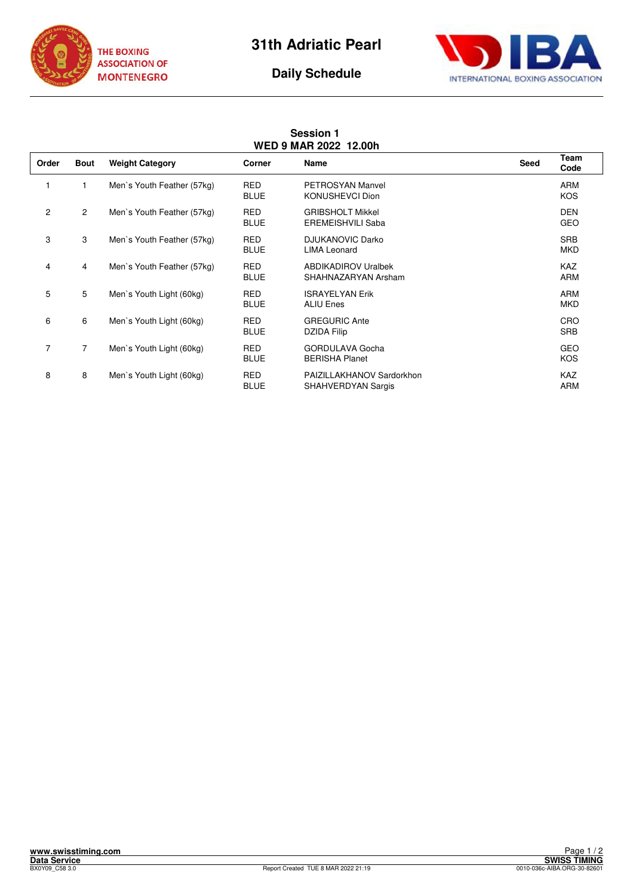

**Session 1** 





## **WED 9 MAR 2022 12.00h Order Bout Weight Category Corner Name Seed Team Code** 1 Men`s Youth Feather (57kg) RED PETROSYAN Manvel<br>BLUE KONUSHEVCI Dion KONUSHEVCI Dion **KOS** 2 2 Men`s Youth Feather (57kg) RED GRIBSHOLT Mikkel CHER CHER DEN DEN BLUE EREMEISHVILI Saba GEO 3 3 Men`s Youth Feather (57kg) RED DJUKANOVIC Darko 3 Men`s Youth Feather (57kg) SRB<br>BLUE LIMA Leonard LIMA Leonard MKD 4 4 Men`s Youth Feather (57kg) RED ABDIKADIROV Uralbek KAZ BLUE SHAHNAZARYAN Arsham ARM 5 5 Men`s Youth Light (60kg) RED ISRAYELYAN Erik ARM ARM BLUE ALIU Enes MKD 6 6 Men`s Youth Light (60kg) RED GREGURIC Ante CRO DZIDA Filip 7 Men`s Youth Light (60kg) RED GORDULAVA Gocha 7 Men`s Youth Light (60kg) RED GEO<br>BLUE BERISHA Planet **BERISHA Planet** 8 Men`s Youth Light (60kg) RED PAIZILLAKHANOV Sardorkhon CHANNOV Sardorkhon KAZ BLUE SHAHVERDYAN Sargis **ARM**